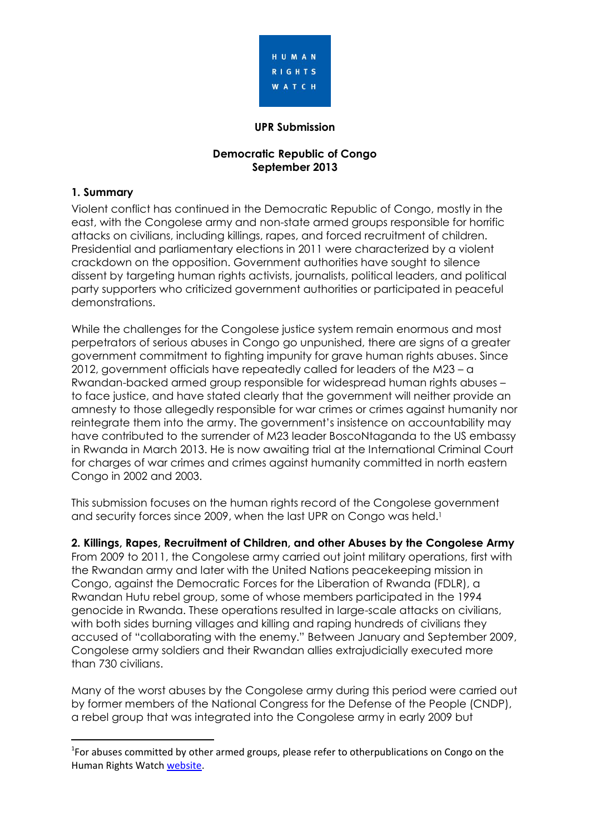

#### **UPR Submission**

#### **Democratic Republic of Congo September 2013**

#### **1. Summary**

.

Violent conflict has continued in the Democratic Republic of Congo, mostly in the east, with the Congolese army and non-state armed groups responsible for horrific attacks on civilians, including killings, rapes, and forced recruitment of children. Presidential and parliamentary elections in 2011 were characterized by a violent crackdown on the opposition. Government authorities have sought to silence dissent by targeting human rights activists, journalists, political leaders, and political party supporters who criticized government authorities or participated in peaceful demonstrations.

While the challenges for the Congolese justice system remain enormous and most perpetrators of serious abuses in Congo go unpunished, there are signs of a greater government commitment to fighting impunity for grave human rights abuses. Since 2012, government officials have repeatedly called for leaders of the M23 – a Rwandan-backed armed group responsible for widespread human rights abuses – to face justice, and have stated clearly that the government will neither provide an amnesty to those allegedly responsible for war crimes or crimes against humanity nor reintegrate them into the army. The government's insistence on accountability may have contributed to the surrender of M23 leader BoscoNtaganda to the US embassy in Rwanda in March 2013. He is now awaiting trial at the International Criminal Court for charges of war crimes and crimes against humanity committed in north eastern Congo in 2002 and 2003.

This submission focuses on the human rights record of the Congolese government and security forces since 2009, when the last UPR on Congo was held. 1

**2. Killings, Rapes, Recruitment of Children, and other Abuses by the Congolese Army**

From 2009 to 2011, the Congolese army carried out joint military operations, first with the Rwandan army and later with the United Nations peacekeeping mission in Congo, against the Democratic Forces for the Liberation of Rwanda (FDLR), a Rwandan Hutu rebel group, some of whose members participated in the 1994 genocide in Rwanda. These operations resulted in large-scale attacks on civilians, with both sides burning villages and killing and raping hundreds of civilians they accused of "collaborating with the enemy." Between January and September 2009, Congolese army soldiers and their Rwandan allies extrajudicially executed more than 730 civilians.

Many of the worst abuses by the Congolese army during this period were carried out by former members of the National Congress for the Defense of the People (CNDP), a rebel group that was integrated into the Congolese army in early 2009 but

<sup>&</sup>lt;sup>1</sup>For abuses committed by other armed groups, please refer to otherpublications on Congo on the Human Rights Watch [website.](http://www.hrw.org/drc)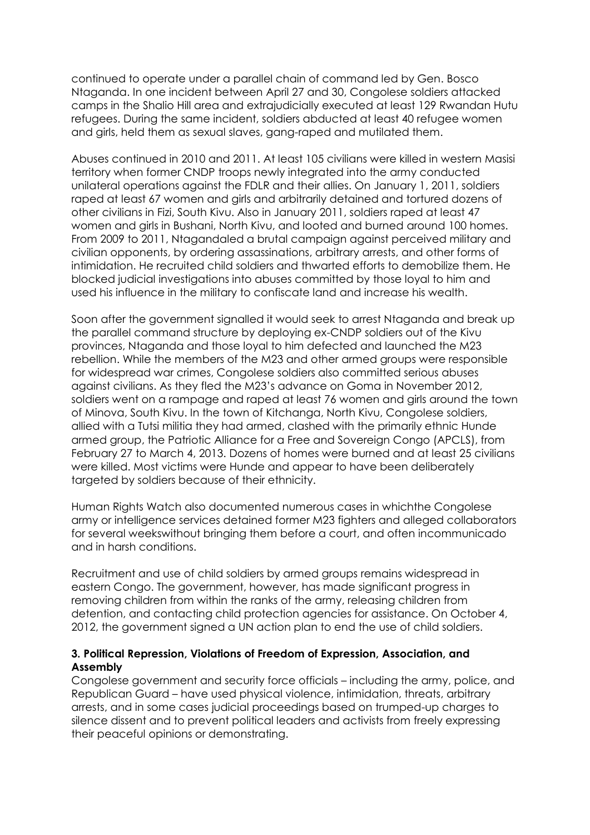continued to operate under a parallel chain of command led by Gen. Bosco Ntaganda. In one incident between April 27 and 30, Congolese soldiers attacked camps in the Shalio Hill area and extrajudicially executed at least 129 Rwandan Hutu refugees. During the same incident, soldiers abducted at least 40 refugee women and girls, held them as sexual slaves, gang-raped and mutilated them.

Abuses continued in 2010 and 2011. At least 105 civilians were killed in western Masisi territory when former CNDP troops newly integrated into the army conducted unilateral operations against the FDLR and their allies. On January 1, 2011, soldiers raped at least 67 women and girls and arbitrarily detained and tortured dozens of other civilians in Fizi, South Kivu. Also in January 2011, soldiers raped at least 47 women and girls in Bushani, North Kivu, and looted and burned around 100 homes. From 2009 to 2011, Ntagandaled a brutal campaign against perceived military and civilian opponents, by ordering assassinations, arbitrary arrests, and other forms of intimidation. He recruited child soldiers and thwarted efforts to demobilize them. He blocked judicial investigations into abuses committed by those loyal to him and used his influence in the military to confiscate land and increase his wealth.

Soon after the government signalled it would seek to arrest Ntaganda and break up the parallel command structure by deploying ex-CNDP soldiers out of the Kivu provinces, Ntaganda and those loyal to him defected and launched the M23 rebellion. While the members of the M23 and other armed groups were responsible for widespread war crimes, Congolese soldiers also committed serious abuses against civilians. As they fled the M23's advance on Goma in November 2012, soldiers went on a rampage and raped at least 76 women and girls around the town of Minova, South Kivu. In the town of Kitchanga, North Kivu, Congolese soldiers, allied with a Tutsi militia they had armed, clashed with the primarily ethnic Hunde armed group, the Patriotic Alliance for a Free and Sovereign Congo (APCLS), from February 27 to March 4, 2013. Dozens of homes were burned and at least 25 civilians were killed. Most victims were Hunde and appear to have been deliberately targeted by soldiers because of their ethnicity.

Human Rights Watch also documented numerous cases in whichthe Congolese army or intelligence services detained former M23 fighters and alleged collaborators for several weekswithout bringing them before a court, and often incommunicado and in harsh conditions.

Recruitment and use of child soldiers by armed groups remains widespread in eastern Congo. The government, however, has made significant progress in removing children from within the ranks of the army, releasing children from detention, and contacting child protection agencies for assistance. On October 4, 2012, the government signed a UN action plan to end the use of child soldiers.

#### **3. Political Repression, Violations of Freedom of Expression, Association, and Assembly**

Congolese government and security force officials – including the army, police, and Republican Guard – have used physical violence, intimidation, threats, arbitrary arrests, and in some cases judicial proceedings based on trumped-up charges to silence dissent and to prevent political leaders and activists from freely expressing their peaceful opinions or demonstrating.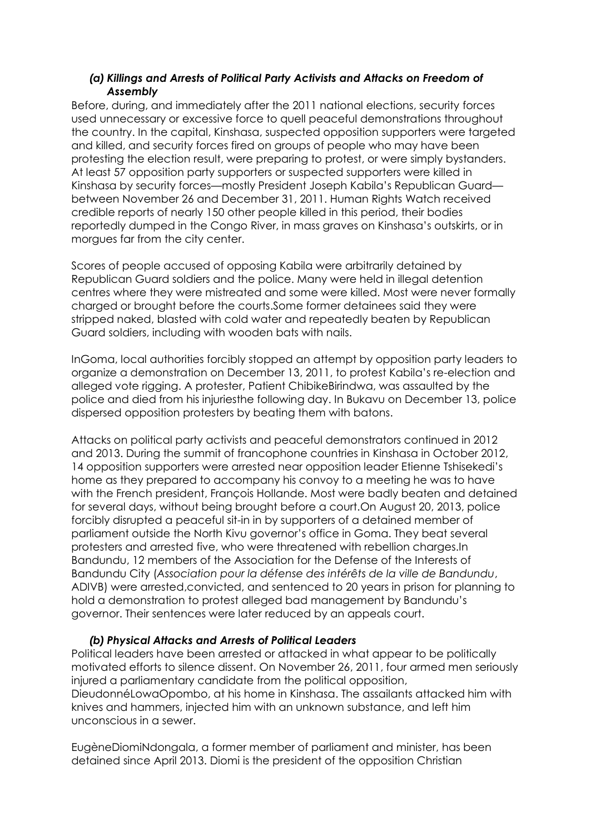#### *(a) Killings and Arrests of Political Party Activists and Attacks on Freedom of Assembly*

Before, during, and immediately after the 2011 national elections, security forces used unnecessary or excessive force to quell peaceful demonstrations throughout the country. In the capital, Kinshasa, suspected opposition supporters were targeted and killed, and security forces fired on groups of people who may have been protesting the election result, were preparing to protest, or were simply bystanders. At least 57 opposition party supporters or suspected supporters were killed in Kinshasa by security forces—mostly President Joseph Kabila's Republican Guard between November 26 and December 31, 2011. Human Rights Watch received credible reports of nearly 150 other people killed in this period, their bodies reportedly dumped in the Congo River, in mass graves on Kinshasa's outskirts, or in morgues far from the city center.

Scores of people accused of opposing Kabila were arbitrarily detained by Republican Guard soldiers and the police. Many were held in illegal detention centres where they were mistreated and some were killed. Most were never formally charged or brought before the courts.Some former detainees said they were stripped naked, blasted with cold water and repeatedly beaten by Republican Guard soldiers, including with wooden bats with nails.

InGoma, local authorities forcibly stopped an attempt by opposition party leaders to organize a demonstration on December 13, 2011, to protest Kabila's re-election and alleged vote rigging. A protester, Patient ChibikeBirindwa, was assaulted by the police and died from his injuriesthe following day. In Bukavu on December 13, police dispersed opposition protesters by beating them with batons.

Attacks on political party activists and peaceful demonstrators continued in 2012 and 2013. During the summit of francophone countries in Kinshasa in October 2012, 14 opposition supporters were arrested near opposition leader Etienne Tshisekedi's home as they prepared to accompany his convoy to a meeting he was to have with the French president, François Hollande. Most were badly beaten and detained for several days, without being brought before a court.On August 20, 2013, police forcibly disrupted a peaceful sit-in in by supporters of a detained member of parliament outside the North Kivu governor's office in Goma. They beat several protesters and arrested five, who were threatened with rebellion charges.In Bandundu, 12 members of the Association for the Defense of the Interests of Bandundu City (*Association pour la défense des intérêts de la ville de Bandundu*, ADIVB) were arrested,convicted, and sentenced to 20 years in prison for planning to hold a demonstration to protest alleged bad management by Bandundu's governor. Their sentences were later reduced by an appeals court.

## *(b) Physical Attacks and Arrests of Political Leaders*

Political leaders have been arrested or attacked in what appear to be politically motivated efforts to silence dissent. On November 26, 2011, four armed men seriously injured a parliamentary candidate from the political opposition, DieudonnéLowaOpombo, at his home in Kinshasa. The assailants attacked him with knives and hammers, injected him with an unknown substance, and left him unconscious in a sewer.

EugèneDiomiNdongala, a former member of parliament and minister, has been detained since April 2013. Diomi is the president of the opposition Christian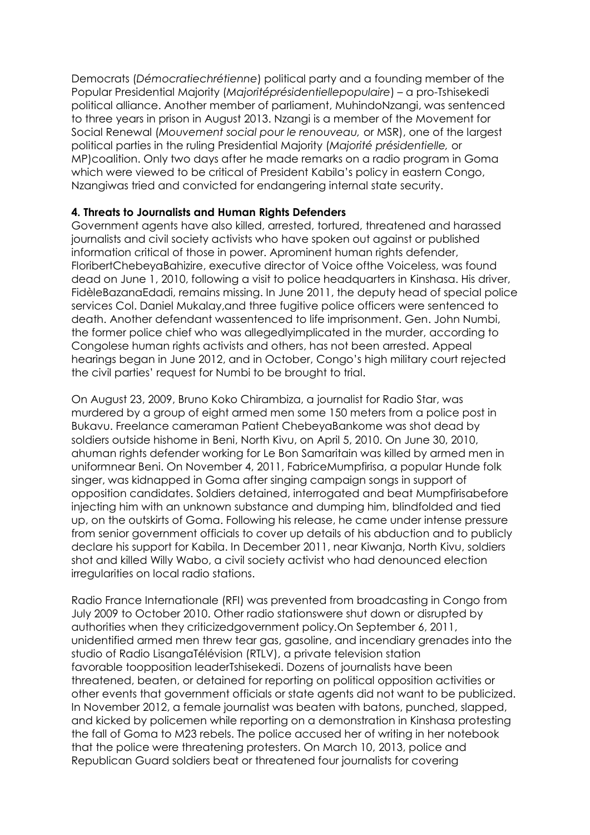Democrats (*Démocratiechrétienne*) political party and a founding member of the Popular Presidential Majority (*Majoritéprésidentiellepopulaire*) – a pro-Tshisekedi political alliance. Another member of parliament, MuhindoNzangi, was sentenced to three years in prison in August 2013. Nzangi is a member of the Movement for Social Renewal (*Mouvement social pour le renouveau,* or MSR), one of the largest political parties in the ruling Presidential Majority (*Majorité présidentielle,* or MP)coalition. Only two days after he made remarks on a radio program in Goma which were viewed to be critical of President Kabila's policy in eastern Congo, Nzangiwas tried and convicted for endangering internal state security.

## **4. Threats to Journalists and Human Rights Defenders**

Government agents have also killed, arrested, tortured, threatened and harassed journalists and civil society activists who have spoken out against or published information critical of those in power. Aprominent human rights defender, FloribertChebeyaBahizire, executive director of Voice ofthe Voiceless, was found dead on June 1, 2010, following a visit to police headquarters in Kinshasa. His driver, FidèleBazanaEdadi, remains missing. In June 2011, the deputy head of special police services Col. Daniel Mukalay,and three fugitive police officers were sentenced to death. Another defendant wassentenced to life imprisonment. Gen. John Numbi, the former police chief who was allegedlyimplicated in the murder, according to Congolese human rights activists and others, has not been arrested. Appeal hearings began in June 2012, and in October, Congo's high military court rejected the civil parties' request for Numbi to be brought to trial.

On August 23, 2009, Bruno Koko Chirambiza, a journalist for Radio Star, was murdered by a group of eight armed men some 150 meters from a police post in Bukavu. Freelance cameraman Patient ChebeyaBankome was shot dead by soldiers outside hishome in Beni, North Kivu, on April 5, 2010. On June 30, 2010, ahuman rights defender working for Le Bon Samaritain was killed by armed men in uniformnear Beni. On November 4, 2011, FabriceMumpfirisa, a popular Hunde folk singer, was kidnapped in Goma after singing campaign songs in support of opposition candidates. Soldiers detained, interrogated and beat Mumpfirisabefore injecting him with an unknown substance and dumping him, blindfolded and tied up, on the outskirts of Goma. Following his release, he came under intense pressure from senior government officials to cover up details of his abduction and to publicly declare his support for Kabila. In December 2011, near Kiwanja, North Kivu, soldiers shot and killed Willy Wabo, a civil society activist who had denounced election irregularities on local radio stations.

Radio France Internationale (RFI) was prevented from broadcasting in Congo from July 2009 to October 2010. Other radio stationswere shut down or disrupted by authorities when they criticizedgovernment policy.On September 6, 2011, unidentified armed men threw tear gas, gasoline, and incendiary grenades into the studio of Radio LisangaTélévision (RTLV), a private television station favorable toopposition leaderTshisekedi. Dozens of journalists have been threatened, beaten, or detained for reporting on political opposition activities or other events that government officials or state agents did not want to be publicized. In November 2012, a female journalist was beaten with batons, punched, slapped, and kicked by policemen while reporting on a demonstration in Kinshasa protesting the fall of Goma to M23 rebels. The police accused her of writing in her notebook that the police were threatening protesters. On March 10, 2013, police and Republican Guard soldiers beat or threatened four journalists for covering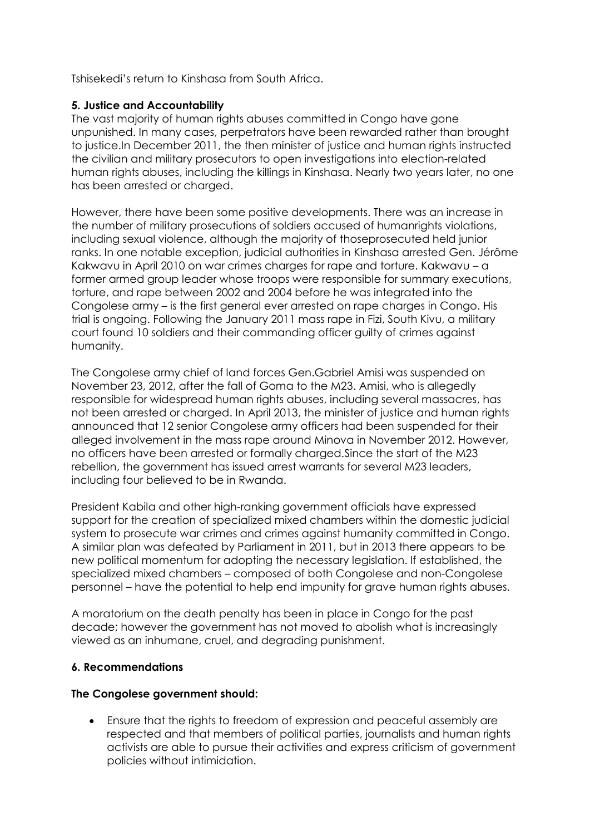Tshisekedi's return to Kinshasa from South Africa.

# **5. Justice and Accountability**

The vast majority of human rights abuses committed in Congo have gone unpunished. In many cases, perpetrators have been rewarded rather than brought to justice.In December 2011, the then minister of justice and human rights instructed the civilian and military prosecutors to open investigations into election-related human rights abuses, including the killings in Kinshasa. Nearly two years later, no one has been arrested or charged.

However, there have been some positive developments. There was an increase in the number of military prosecutions of soldiers accused of humanrights violations, including sexual violence, although the majority of thoseprosecuted held junior ranks. In one notable exception, judicial authorities in Kinshasa arrested Gen. Jérôme Kakwavu in April 2010 on war crimes charges for rape and torture. Kakwavu – a former armed group leader whose troops were responsible for summary executions, torture, and rape between 2002 and 2004 before he was integrated into the Congolese army – is the first general ever arrested on rape charges in Congo. His trial is ongoing. Following the January 2011 mass rape in Fizi, South Kivu, a military court found 10 soldiers and their commanding officer guilty of crimes against humanity.

The Congolese army chief of land forces Gen.Gabriel Amisi was suspended on November 23, 2012, after the fall of Goma to the M23. Amisi, who is allegedly responsible for widespread human rights abuses, including several massacres, has not been arrested or charged. In April 2013, the minister of justice and human rights announced that 12 senior Congolese army officers had been suspended for their alleged involvement in the mass rape around Minova in November 2012. However, no officers have been arrested or formally charged.Since the start of the M23 rebellion, the government has issued arrest warrants for several M23 leaders, including four believed to be in Rwanda.

President Kabila and other high-ranking government officials have expressed support for the creation of specialized mixed chambers within the domestic judicial system to prosecute war crimes and crimes against humanity committed in Congo. A similar plan was defeated by Parliament in 2011, but in 2013 there appears to be new political momentum for adopting the necessary legislation. If established, the specialized mixed chambers – composed of both Congolese and non-Congolese personnel – have the potential to help end impunity for grave human rights abuses.

A moratorium on the death penalty has been in place in Congo for the past decade; however the government has not moved to abolish what is increasingly viewed as an inhumane, cruel, and degrading punishment.

## **6. Recommendations**

## **The Congolese government should:**

 Ensure that the rights to freedom of expression and peaceful assembly are respected and that members of political parties, journalists and human rights activists are able to pursue their activities and express criticism of government policies without intimidation.